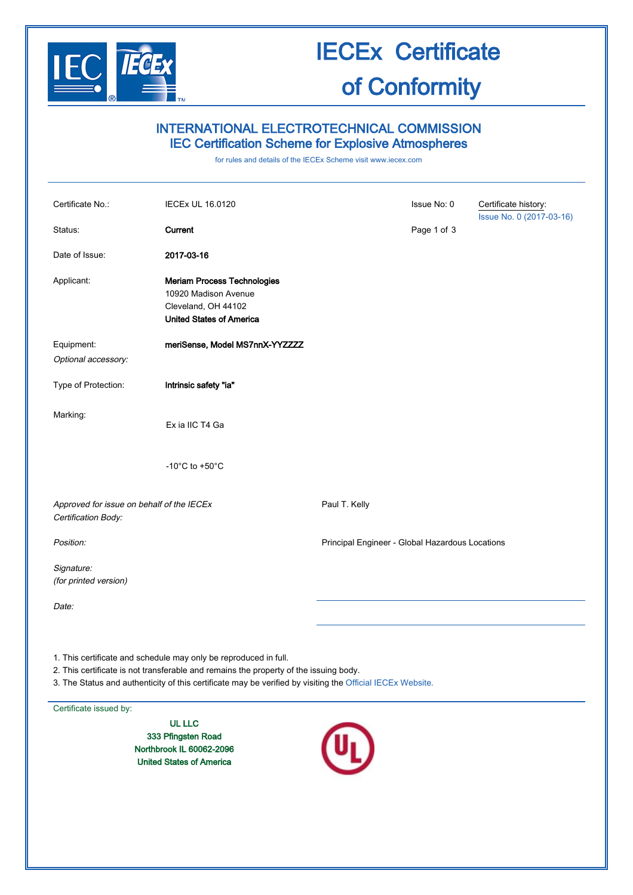

### IECEx Certificate of Conformity

### INTERNATIONAL ELECTROTECHNICAL COMMISSION IEC Certification Scheme for Explosive Atmospheres

for rules and details of the IECEx Scheme visit [www.iecex.com](http://www.iecex.com/)

| Certificate No.:                                                 | <b>IECEx UL 16.0120</b>                                                                                                                                                                                                                                                 |                                                 | Issue No: 0 | Certificate history:     |
|------------------------------------------------------------------|-------------------------------------------------------------------------------------------------------------------------------------------------------------------------------------------------------------------------------------------------------------------------|-------------------------------------------------|-------------|--------------------------|
| Status:                                                          | Current                                                                                                                                                                                                                                                                 |                                                 | Page 1 of 3 | Issue No. 0 (2017-03-16) |
| Date of Issue:                                                   | 2017-03-16                                                                                                                                                                                                                                                              |                                                 |             |                          |
| Applicant:                                                       | <b>Meriam Process Technologies</b><br>10920 Madison Avenue<br>Cleveland, OH 44102<br><b>United States of America</b>                                                                                                                                                    |                                                 |             |                          |
| Equipment:<br>Optional accessory:                                | meriSense, Model MS7nnX-YYZZZZ                                                                                                                                                                                                                                          |                                                 |             |                          |
| Type of Protection:                                              | Intrinsic safety "ia"                                                                                                                                                                                                                                                   |                                                 |             |                          |
| Marking:                                                         | Ex ia IIC T4 Ga                                                                                                                                                                                                                                                         |                                                 |             |                          |
|                                                                  | -10 $^{\circ}$ C to +50 $^{\circ}$ C                                                                                                                                                                                                                                    |                                                 |             |                          |
| Approved for issue on behalf of the IECEx<br>Certification Body: |                                                                                                                                                                                                                                                                         | Paul T. Kelly                                   |             |                          |
| Position:                                                        |                                                                                                                                                                                                                                                                         | Principal Engineer - Global Hazardous Locations |             |                          |
| Signature:<br>(for printed version)                              |                                                                                                                                                                                                                                                                         |                                                 |             |                          |
| Date:                                                            |                                                                                                                                                                                                                                                                         |                                                 |             |                          |
|                                                                  | 1. This certificate and schedule may only be reproduced in full.<br>2. This certificate is not transferable and remains the property of the issuing body.<br>3. The Status and authenticity of this certificate may be verified by visiting the Official IECEx Website. |                                                 |             |                          |

Certificate issued by:

UL LLC 333 Pfingsten Road Northbrook IL 60062-2096 United States of America

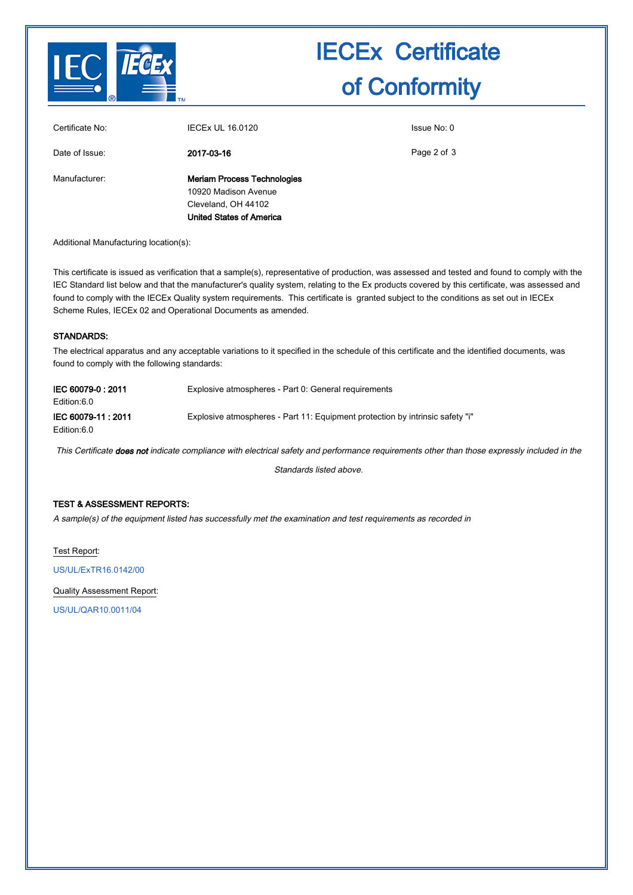

# IECEx Certificate of Conformity

| Certificate No: | <b>IECEX UL 16.0120</b>                                                                                              | Issue No: 0 |
|-----------------|----------------------------------------------------------------------------------------------------------------------|-------------|
| Date of Issue:  | 2017-03-16                                                                                                           | Page 2 of 3 |
| Manufacturer:   | <b>Meriam Process Technologies</b><br>10920 Madison Avenue<br>Cleveland, OH 44102<br><b>United States of America</b> |             |

Additional Manufacturing location(s):

This certificate is issued as verification that a sample(s), representative of production, was assessed and tested and found to comply with the IEC Standard list below and that the manufacturer's quality system, relating to the Ex products covered by this certificate, was assessed and found to comply with the IECEx Quality system requirements. This certificate is granted subject to the conditions as set out in IECEx Scheme Rules, IECEx 02 and Operational Documents as amended.

#### STANDARDS:

The electrical apparatus and any acceptable variations to it specified in the schedule of this certificate and the identified documents, was found to comply with the following standards:

| IEC 60079-0: 2011<br>Edition:6.0 | Explosive atmospheres - Part 0: General requirements                          |
|----------------------------------|-------------------------------------------------------------------------------|
| IEC 60079-11:2011<br>Edition:6.0 | Explosive atmospheres - Part 11: Equipment protection by intrinsic safety "i" |

This Certificate does not indicate compliance with electrical safety and performance requirements other than those expressly included in the

Standards listed above.

#### TEST & ASSESSMENT REPORTS:

A sample(s) of the equipment listed has successfully met the examination and test requirements as recorded in

Test Report:

[US/UL/ExTR16.0142/00](http://iecex.iec.ch/iecex/IECExWeb.nsf/ExTRNumber/US/UL/ExTR16.0142/00?OpenDocument)

Quality Assessment Report:

[US/UL/QAR10.0011/04](http://iecex.iec.ch/iecex/IECExWeb.nsf/QARNumber/US/UL/QAR10.0011/04?OpenDocument)